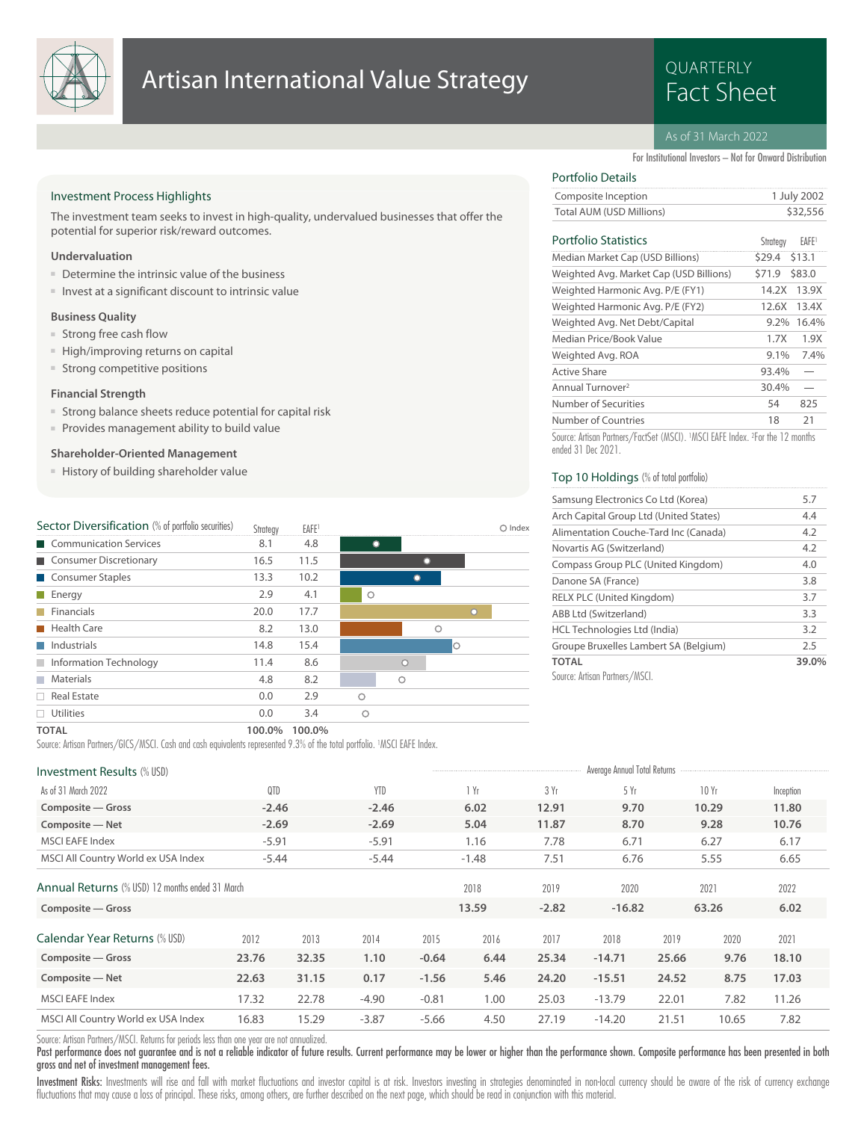

## Artisan International Value Strategy<br>Fact Sheet

# QUARTERLY

## As of 31 March 2022

For Institutional Investors – Not for Onward Distribution

 $S_{\text{double}}$ 

## Investment Process Highlights

The investment team seeks to invest in high-quality, undervalued businesses that offer the potential for superior risk/reward outcomes.

## **Undervaluation**

- Determine the intrinsic value of the business
- Invest at a significant discount to intrinsic value

### **Business Quality**

- Strong free cash flow
- High/improving returns on capital
- Strong competitive positions

## **Financial Strength**

- Strong balance sheets reduce potential for capital risk
- Provides management ability to build value

## **Shareholder-Oriented Management**

■ History of building shareholder value

| Sector Diversification (% of portfolio securities) | Strategy | EAFE <sup>1</sup> |         |   |            |   | Index |
|----------------------------------------------------|----------|-------------------|---------|---|------------|---|-------|
| Communication Services                             | 8.1      | 4.8               |         |   |            |   |       |
| Consumer Discretionary                             | 16.5     | 11.5              |         |   |            |   |       |
| Consumer Staples                                   | 13.3     | 10.2              |         |   |            |   |       |
| $\blacksquare$ Energy                              | 2.9      | 4.1               | $\circ$ |   |            |   |       |
| Financials                                         | 20.0     | 17.7              |         |   |            | O |       |
| Health Care                                        | 8.2      | 13.0              |         |   | $\bigcirc$ |   |       |
| $\blacksquare$ Industrials                         | 14.8     | 15.4              |         |   |            | Ο |       |
| Information Technology                             | 11.4     | 8.6               |         | n |            |   |       |
| Materials<br>T.                                    | 4.8      | 8.2               |         | ∩ |            |   |       |
| $\Box$ Real Estate                                 | 0.0      | 2.9               | ◠       |   |            |   |       |
| Utilities                                          | 0.0      | 3.4               | Ω       |   |            |   |       |
| _____                                              |          | $\cdots$          |         |   |            |   |       |

## Portfolio Details

| Composite Inception      | 1 July 2002 |
|--------------------------|-------------|
| Total AUM (USD Millions) | \$32,556    |
|                          |             |

## Portfolio Statistics EAFE1

| <u>EULIUIU alatistik s</u>              | <b>SHUILCA</b> | EALE.  |
|-----------------------------------------|----------------|--------|
| Median Market Cap (USD Billions)        | \$29.4         | \$13.1 |
| Weighted Avg. Market Cap (USD Billions) | \$71.9         | \$83.0 |
| Weighted Harmonic Avg. P/E (FY1)        | 14.2X          | 13.9X  |
| Weighted Harmonic Avg. P/E (FY2)        | 12.6X          | 13.4X  |
| Weighted Avg. Net Debt/Capital          | $9.2\%$        | 16.4%  |
| Median Price/Book Value                 | 1.7X           | 1.9X   |
| Weighted Avg. ROA                       | $9.1\%$        | 7.4%   |
| Active Share                            | 93.4%          |        |
| Annual Turnover <sup>2</sup>            | 30.4%          |        |
| Number of Securities                    | 54             | 825    |
| Number of Countries                     | 18             | 21     |
|                                         |                |        |

Source: Artisan Partners/FactSet (MSCI). <sup>1</sup>MSCI EAFE Index. <sup>2</sup> For the 12 months ended 31 Dec 2021.

## Top 10 Holdings (% of total portfolio)

| Samsung Electronics Co Ltd (Korea)     | 5.7   |
|----------------------------------------|-------|
| Arch Capital Group Ltd (United States) | 4.4   |
| Alimentation Couche-Tard Inc (Canada)  | 4.2   |
| Novartis AG (Switzerland)              | 4.2   |
| Compass Group PLC (United Kingdom)     | 4.0   |
| Danone SA (France)                     | 3.8   |
| <b>RELX PLC (United Kingdom)</b>       | 3.7   |
| ABB Ltd (Switzerland)                  | 3.3   |
| HCL Technologies Ltd (India)           | 3.2   |
| Groupe Bruxelles Lambert SA (Belgium)  | 2.5   |
| <b>TOTAL</b>                           | 39.0% |
| Source: Artisan Partners/MSCL          |       |

#### **TOTAL 100.0% 100.0%**

Source: Artisan Partners/GICS/MSCI. Cash and cash equivalents represented 9.3% of the total portfolio. 1MSCI EAFE Index.

## Investment Results (% IISD) and the USD of the Contract of the Contract Annual Total Returns and Total Returns

| <u>IIIVESUITEIILINESUILSIMUUDIL</u>             |         |       |            |         |         |         | London Union London Union |       |       |           |
|-------------------------------------------------|---------|-------|------------|---------|---------|---------|---------------------------|-------|-------|-----------|
| As of 31 March 2022                             | QTD     |       | <b>YTD</b> |         | 1 Yr    | 3 Yr    | 5Yr                       |       | 10Yr  | Inception |
| Composite - Gross                               | $-2.46$ |       | $-2.46$    |         | 6.02    | 12.91   | 9.70                      |       | 10.29 | 11.80     |
| Composite - Net                                 | $-2.69$ |       | $-2.69$    |         | 5.04    | 11.87   | 8.70                      |       | 9.28  | 10.76     |
| <b>MSCI EAFE Index</b>                          | $-5.91$ |       | $-5.91$    |         | 1.16    | 7.78    | 6.71                      |       | 6.27  | 6.17      |
| MSCI All Country World ex USA Index             | $-5.44$ |       | $-5.44$    |         | $-1.48$ | 7.51    | 6.76                      |       | 5.55  | 6.65      |
| Annual Returns (% USD) 12 months ended 31 March |         |       |            |         | 2018    | 2019    | 2020                      |       | 2021  | 2022      |
| Composite - Gross                               |         |       |            |         | 13.59   | $-2.82$ | $-16.82$                  |       | 63.26 | 6.02      |
| Calendar Year Returns (% USD)                   | 2012    | 2013  | 2014       | 2015    | 2016    | 2017    | 2018                      | 2019  | 2020  | 2021      |
| Composite - Gross                               | 23.76   | 32.35 | 1.10       | $-0.64$ | 6.44    | 25.34   | $-14.71$                  | 25.66 | 9.76  | 18.10     |
| Composite - Net                                 | 22.63   | 31.15 | 0.17       | $-1.56$ | 5.46    | 24.20   | $-15.51$                  | 24.52 | 8.75  | 17.03     |
| <b>MSCI EAFE Index</b>                          | 17.32   | 22.78 | $-4.90$    | $-0.81$ | 1.00    | 25.03   | $-13.79$                  | 22.01 | 7.82  | 11.26     |
| MSCI All Country World ex USA Index             | 16.83   | 15.29 | $-3.87$    | $-5.66$ | 4.50    | 27.19   | $-14.20$                  | 21.51 | 10.65 | 7.82      |

Source: Artisan Partners/MSCI. Returns for periods less than one year are not annualized.

Past performance does not guarantee and is not a reliable indicator of future results. Current performance may be lower or higher than the performance shown. Composite performance has been presented in both gross and net of investment management fees.

Investment Risks: Investments will rise and fall with market fluctuations and investor capital is at risk. Investors investing in strategies denominated in non-local currency should be aware of the risk of currency exchang fluctuations that may cause a loss of principal. These risks, among others, are further described on the next page, which should be read in conjunction with this material.